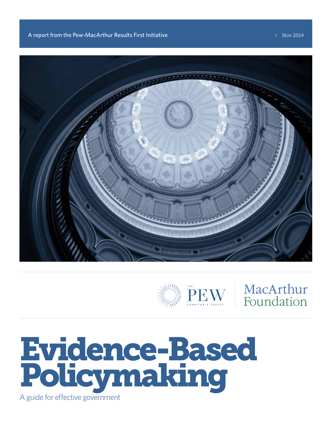



# MacArthur Foundation

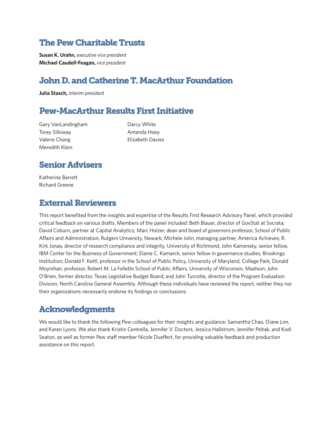## The Pew Charitable Trusts

**Susan K. Urahn,** *executive vice president* **Michael Caudell-Feagan,** *vice president* 

## John D. and Catherine T. MacArthur Foundation

**Julia Stasch,** *interim president* 

## Pew-MacArthur Results First Initiative

Gary VanLandingham Torey Silloway Valerie Chang Meredith Klein

Darcy White Amanda Hoey Elizabeth Davies

## Senior Advisers

Katherine Barrett Richard Greene

## External Reviewers

This report benefited from the insights and expertise of the Results First Research Advisory Panel, which provided critical feedback on various drafts. Members of the panel included: Beth Blauer, director of GovStat at Socrata; David Coburn, partner at Capital Analytics; Marc Holzer, dean and board of governors professor, School of Public Affairs and Administration, Rutgers University, Newark; Michele Jolin, managing partner, America Achieves; R. Kirk Jonas, director of research compliance and integrity, University of Richmond; John Kamensky, senior fellow, IBM Center for the Business of Government; Elaine C. Kamarck, senior fellow in governance studies, Brookings Institution; Donald F. Kettl, professor in the School of Public Policy, University of Maryland, College Park; Donald Moynihan, professor, Robert M. La Follette School of Public Affairs, University of Wisconsin, Madison; John O'Brien, former director, Texas Legislative Budget Board; and John Turcotte, director of the Program Evaluation Division, North Carolina General Assembly. Although these individuals have reviewed the report, neither they nor their organizations necessarily endorse its findings or conclusions.

## Acknowledgments

We would like to thank the following Pew colleagues for their insights and guidance: Samantha Chao, Diane Lim, and Karen Lyons. We also thank Kristin Centrella, Jennifer V. Doctors, Jessica Hallstrom, Jennifer Peltak, and Kodi Seaton, as well as former Pew staff member Nicole Dueffert, for providing valuable feedback and production assistance on this report.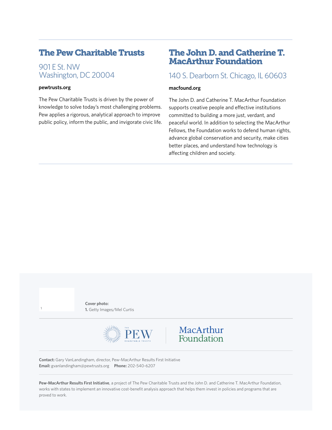## The Pew Charitable Trusts

901 E St. NW Washington, DC 20004

#### **<pewtrusts.org>**

The Pew Charitable Trusts is driven by the power of knowledge to solve today's most challenging problems. Pew applies a rigorous, analytical approach to improve public policy, inform the public, and invigorate civic life.

### The John D. and Catherine T. MacArthur Foundation

### 140 S. Dearborn St. Chicago, IL 60603

#### **<macfound.org>**

The John D. and Catherine T. MacArthur Foundation supports creative people and effective institutions committed to building a more just, verdant, and peaceful world. In addition to selecting the MacArthur Fellows, the Foundation works to defend human rights, advance global conservation and security, make cities better places, and understand how technology is affecting children and society.

**Cover photo: 1.** Getty Images/Mel Curtis **<sup>1</sup>**





**Contact:** Gary VanLandingham, director, Pew-MacArthur Results First Initiative **Email:** [gvanlandingham@pewtrusts.org](mailto:gvanlandingham@pewtrusts.org) **Phone:** 202-540-6207

**Pew-MacArthur Results First Initiative**, a project of The Pew Charitable Trusts and the John D. and Catherine T. MacArthur Foundation, works with states to implement an innovative cost-benefit analysis approach that helps them invest in policies and programs that are proved to work.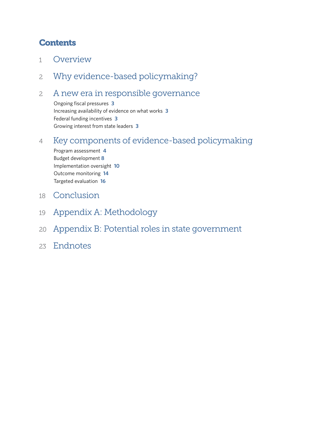## **Contents**

- 1 Overview
- 2 Why evidence-based policymaking?

## 2 A new era in responsible governance

Ongoing fiscal pressures **3** Increasing availability of evidence on what works **3** Federal funding incentives **3** Growing interest from state leaders **3**

## 4 Key components of evidence-based policymaking

Program assessment **4** Budget development **8** Implementation oversight **10** Outcome monitoring **14** Targeted evaluation **16**

- 18 Conclusion
- 19 Appendix A: Methodology
- 20 Appendix B: Potential roles in state government
- 23 Endnotes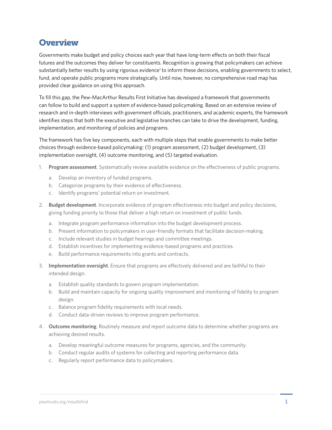## **Overview**

Governments make budget and policy choices each year that have long-term effects on both their fiscal futures and the outcomes they deliver for constituents. Recognition is growing that policymakers can achieve substantially better results by using rigorous evidence<sup>1</sup> to inform these decisions, enabling governments to select, fund, and operate public programs more strategically. Until now, however, no comprehensive road map has provided clear guidance on using this approach.

To fill this gap, the Pew-MacArthur Results First Initiative has developed a framework that governments can follow to build and support a system of evidence-based policymaking. Based on an extensive review of research and in-depth interviews with government officials, practitioners, and academic experts, the framework identifies steps that both the executive and legislative branches can take to drive the development, funding, implementation, and monitoring of policies and programs.

The framework has five key components, each with multiple steps that enable governments to make better choices through evidence-based policymaking: (1) program assessment, (2) budget development, (3) implementation oversight, (4) outcome monitoring, and (5) targeted evaluation.

- 1. **Program assessment**. Systematically review available evidence on the effectiveness of public programs.
	- a. Develop an inventory of funded programs.
	- b. Categorize programs by their evidence of effectiveness.
	- c. Identify programs' potential return on investment.
- 2. **Budget development**. Incorporate evidence of program effectiveness into budget and policy decisions, giving funding priority to those that deliver a high return on investment of public funds.
	- a. Integrate program performance information into the budget development process.
	- b. Present information to policymakers in user-friendly formats that facilitate decision-making.
	- c. Include relevant studies in budget hearings and committee meetings.
	- d. Establish incentives for implementing evidence-based programs and practices.
	- e. Build performance requirements into grants and contracts.
- 3. **Implementation oversight**. Ensure that programs are effectively delivered and are faithful to their intended design.
	- a. Establish quality standards to govern program implementation.
	- b. Build and maintain capacity for ongoing quality improvement and monitoring of fidelity to program design.
	- c. Balance program fidelity requirements with local needs.
	- d. Conduct data-driven reviews to improve program performance.
- 4. **Outcome monitoring**. Routinely measure and report outcome data to determine whether programs are achieving desired results.
	- a. Develop meaningful outcome measures for programs, agencies, and the community.
	- b. Conduct regular audits of systems for collecting and reporting performance data.
	- c. Regularly report performance data to policymakers.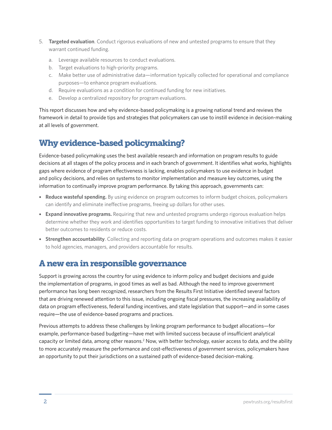- 5. **Targeted evaluation**. Conduct rigorous evaluations of new and untested programs to ensure that they warrant continued funding.
	- a. Leverage available resources to conduct evaluations.
	- b. Target evaluations to high-priority programs.
	- c. Make better use of administrative data—information typically collected for operational and compliance purposes—to enhance program evaluations.
	- d. Require evaluations as a condition for continued funding for new initiatives.
	- e. Develop a centralized repository for program evaluations.

This report discusses how and why evidence-based policymaking is a growing national trend and reviews the framework in detail to provide tips and strategies that policymakers can use to instill evidence in decision-making at all levels of government.

## Why evidence-based policymaking?

Evidence-based policymaking uses the best available research and information on program results to guide decisions at all stages of the policy process and in each branch of government. It identifies what works, highlights gaps where evidence of program effectiveness is lacking, enables policymakers to use evidence in budget and policy decisions, and relies on systems to monitor implementation and measure key outcomes, using the information to continually improve program performance. By taking this approach, governments can:

- **Reduce wasteful spending.** By using evidence on program outcomes to inform budget choices, policymakers can identify and eliminate ineffective programs, freeing up dollars for other uses.
- **Expand innovative programs.** Requiring that new and untested programs undergo rigorous evaluation helps determine whether they work and identifies opportunities to target funding to innovative initiatives that deliver better outcomes to residents or reduce costs.
- **Strengthen accountability**. Collecting and reporting data on program operations and outcomes makes it easier to hold agencies, managers, and providers accountable for results.

## A new era in responsible governance

Support is growing across the country for using evidence to inform policy and budget decisions and guide the implementation of programs, in good times as well as bad. Although the need to improve government performance has long been recognized, researchers from the Results First Initiative identified several factors that are driving renewed attention to this issue, including ongoing fiscal pressures, the increasing availability of data on program effectiveness, federal funding incentives, and state legislation that support—and in some cases require—the use of evidence-based programs and practices.

Previous attempts to address these challenges by linking program performance to budget allocations—for example, performance-based budgeting—have met with limited success because of insufficient analytical capacity or limited data, among other reasons.<sup>2</sup> Now, with better technology, easier access to data, and the ability to more accurately measure the performance and cost-effectiveness of government services, policymakers have an opportunity to put their jurisdictions on a sustained path of evidence-based decision-making.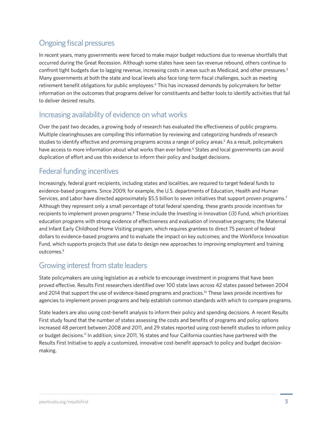## Ongoing fiscal pressures

In recent years, many governments were forced to make major budget reductions due to revenue shortfalls that occurred during the Great Recession. Although some states have seen tax revenue rebound, others continue to confront tight budgets due to lagging revenue, increasing costs in areas such as Medicaid, and other pressures.<sup>3</sup> Many governments at both the state and local levels also face long-term fiscal challenges, such as meeting retirement benefit obligations for public employees.<sup>4</sup> This has increased demands by policymakers for better information on the outcomes that programs deliver for constituents and better tools to identify activities that fail to deliver desired results.

### Increasing availability of evidence on what works

Over the past two decades, a growing body of research has evaluated the effectiveness of public programs. Multiple clearinghouses are compiling this information by reviewing and categorizing hundreds of research studies to identify effective and promising programs across a range of policy areas.<sup>5</sup> As a result, policymakers have access to more information about what works than ever before.<sup>6</sup> States and local governments can avoid duplication of effort and use this evidence to inform their policy and budget decisions.

## Federal funding incentives

Increasingly, federal grant recipients, including states and localities, are required to target federal funds to evidence-based programs. Since 2009, for example, the U.S. departments of Education, Health and Human Services, and Labor have directed approximately \$5.5 billion to seven initiatives that support proven programs.7 Although they represent only a small percentage of total federal spending, these grants provide incentives for recipients to implement proven programs.<sup>8</sup> These include the Investing in Innovation (i3) Fund, which prioritizes education programs with strong evidence of effectiveness and evaluation of innovative programs; the Maternal and Infant Early Childhood Home Visiting program, which requires grantees to direct 75 percent of federal dollars to evidence-based programs and to evaluate the impact on key outcomes; and the Workforce Innovation Fund, which supports projects that use data to design new approaches to improving employment and training outcomes.<sup>9</sup>

## Growing interest from state leaders

State policymakers are using legislation as a vehicle to encourage investment in programs that have been proved effective. Results First researchers identified over 100 state laws across 42 states passed between 2004 and 2014 that support the use of evidence-based programs and practices.<sup>10</sup> These laws provide incentives for agencies to implement proven programs and help establish common standards with which to compare programs.

State leaders are also using cost-benefit analysis to inform their policy and spending decisions. A recent Results First study found that the number of states assessing the costs and benefits of programs and policy options increased 48 percent between 2008 and 2011, and 29 states reported using cost-benefit studies to inform policy or budget decisions.11 In addition, since 2011, 16 states and four California counties have partnered with the Results First Initiative to apply a customized, innovative cost-benefit approach to policy and budget decisionmaking.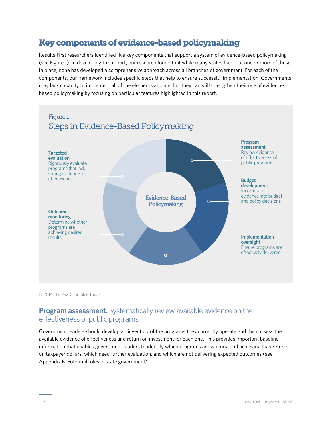## Key components of evidence-based policymaking

Results First researchers identified five key components that support a system of evidence-based policymaking (see Figure 1). In developing this report, our research found that while many states have put one or more of these in place, none has developed a comprehensive approach across all branches of government. For each of the components, our framework includes specific steps that help to ensure successful implementation. Governments may lack capacity to implement all of the elements at once, but they can still strengthen their use of evidencebased policymaking by focusing on particular features highlighted in this report.



© 2014 The Pew Charitable Trusts

### **Program assessment.** Systematically review available evidence on the effectiveness of public programs

Government leaders should develop an inventory of the programs they currently operate and then assess the available evidence of effectiveness and return on investment for each one. This provides important baseline information that enables government leaders to identify which programs are working and achieving high returns on taxpayer dollars, which need further evaluation, and which are not delivering expected outcomes (see Appendix B: Potential roles in state government).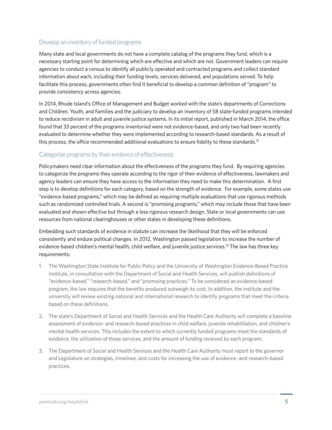### Develop an inventory of funded programs

Many state and local governments do not have a complete catalog of the programs they fund, which is a necessary starting point for determining which are effective and which are not. Government leaders can require agencies to conduct a census to identify all publicly operated and contracted programs and collect standard information about each, including their funding levels, services delivered, and populations served. To help facilitate this process, governments often find it beneficial to develop a common definition of "program" to provide consistency across agencies.

In 2014, Rhode Island's Office of Management and Budget worked with the state's departments of Corrections and Children, Youth, and Families and the judiciary to develop an inventory of 58 state-funded programs intended to reduce recidivism in adult and juvenile justice systems. In its initial report, published in March 2014, the office found that 33 percent of the programs inventoried were not evidence-based, and only two had been recently evaluated to determine whether they were implemented according to research-based standards. As a result of this process, the office recommended additional evaluations to ensure fidelity to these standards.<sup>12</sup>

### Categorize programs by their evidence of effectiveness

Policymakers need clear information about the effectiveness of the programs they fund. By requiring agencies to categorize the programs they operate according to the rigor of their evidence of effectiveness, lawmakers and agency leaders can ensure they have access to the information they need to make this determination. A first step is to develop definitions for each category, based on the strength of evidence. For example, some states use "evidence-based programs," which may be defined as requiring multiple evaluations that use rigorous methods such as randomized controlled trials. A second is "promising programs," which may include those that have been evaluated and shown effective but through a less rigorous research design. State or local governments can use resources from national clearinghouses or other states in developing these definitions.

Embedding such standards of evidence in statute can increase the likelihood that they will be enforced consistently and endure political changes. In 2012, Washington passed legislation to increase the number of evidence-based children's mental health, child welfare, and juvenile justice services.13 The law has three key requirements:

- 1. The Washington State Institute for Public Policy and the University of Washington Evidence-Based Practice Institute, in consultation with the Department of Social and Health Services, will publish definitions of "evidence-based," "research-based," and "promising practices." To be considered an evidence-based program, the law requires that the benefits produced outweigh its cost. In addition, the institute and the university will review existing national and international research to identify programs that meet the criteria based on these definitions.
- 2. The state's Department of Social and Health Services and the Health Care Authority will complete a baseline assessment of evidence- and research-based practices in child welfare, juvenile rehabilitation, and children's mental health services. This includes the extent to which currently funded programs meet the standards of evidence, the utilization of those services, and the amount of funding received by each program.
- 3. The Department of Social and Health Services and the Health Care Authority must report to the governor and Legislature on strategies, timelines, and costs for increasing the use of evidence- and research-based practices.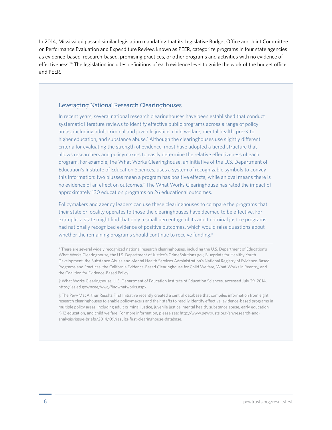In 2014, Mississippi passed similar legislation mandating that its Legislative Budget Office and Joint Committee on Performance Evaluation and Expenditure Review, known as PEER, categorize programs in four state agencies as evidence-based, research-based, promising practices, or other programs and activities with no evidence of effectiveness.14 The legislation includes definitions of each evidence level to guide the work of the budget office and PEER.

#### Leveraging National Research Clearinghouses

In recent years, several national research clearinghouses have been established that conduct systematic literature reviews to identify effective public programs across a range of policy areas, including adult criminal and juvenile justice, child welfare, mental health, pre-K to higher education, and substance abuse.' Although the clearinghouses use slightly different criteria for evaluating the strength of evidence, most have adopted a tiered structure that allows researchers and policymakers to easily determine the relative effectiveness of each program. For example, the What Works Clearinghouse, an initiative of the U.S. Department of Education's Institute of Education Sciences, uses a system of recognizable symbols to convey this information: two plusses mean a program has positive effects, while an oval means there is no evidence of an effect on outcomes.† The What Works Clearinghouse has rated the impact of approximately 130 education programs on 26 educational outcomes.

Policymakers and agency leaders can use these clearinghouses to compare the programs that their state or locality operates to those the clearinghouses have deemed to be effective. For example, a state might find that only a small percentage of its adult criminal justice programs had nationally recognized evidence of positive outcomes, which would raise questions about whether the remaining programs should continue to receive funding.<sup>#</sup>

† What Works Clearinghouse, U.S. Department of Education Institute of Education Sciences, accessed July 29, 2014, <http://ies.ed.gov/ncee/wwc/findwhatworks.aspx>.

‡ The Pew-MacArthur Results First Initiative recently created a central database that compiles information from eight research clearinghouses to enable policymakers and their staffs to readily identify effective, evidence-based programs in multiple policy areas, including adult criminal justice, juvenile justice, mental health, substance abuse, early education, K-12 education, and child welfare. For more information, please see: [http://www.pewtrusts.org/en/research-and](http://www.pewtrusts.org/en/research-and-analysis/issue-briefs/2014/09/results-first-clearinghouse-database)[analysis/issue-briefs/2014/09/results-first-clearinghouse-database](http://www.pewtrusts.org/en/research-and-analysis/issue-briefs/2014/09/results-first-clearinghouse-database).

<sup>\*</sup> There are several widely recognized national research clearinghouses, including the U.S. Department of Education's What Works Clearinghouse, the U.S. Department of Justice's<CrimeSolutions.gov>, Blueprints for Healthy Youth Development, the Substance Abuse and Mental Health Services Administration's National Registry of Evidence-Based Programs and Practices, the California Evidence-Based Clearinghouse for Child Welfare, What Works in Reentry, and the Coalition for Evidence-Based Policy.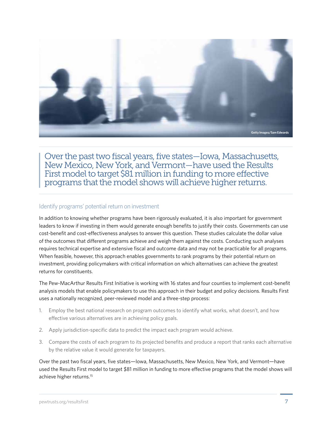

Over the past two fiscal years, five states—Iowa, Massachusetts, New Mexico, New York, and Vermont—have used the Results First model to target \$81 million in funding to more effective programs that the model shows will achieve higher returns.

### Identify programs' potential return on investment

In addition to knowing whether programs have been rigorously evaluated, it is also important for government leaders to know if investing in them would generate enough benefits to justify their costs. Governments can use cost-benefit and cost-effectiveness analyses to answer this question. These studies calculate the dollar value of the outcomes that different programs achieve and weigh them against the costs. Conducting such analyses requires technical expertise and extensive fiscal and outcome data and may not be practicable for all programs. When feasible, however, this approach enables governments to rank programs by their potential return on investment, providing policymakers with critical information on which alternatives can achieve the greatest returns for constituents.

The Pew-MacArthur Results First Initiative is working with 16 states and four counties to implement cost-benefit analysis models that enable policymakers to use this approach in their budget and policy decisions. Results First uses a nationally recognized, peer-reviewed model and a three-step process:

- 1. Employ the best national research on program outcomes to identify what works, what doesn't, and how effective various alternatives are in achieving policy goals.
- 2. Apply jurisdiction-specific data to predict the impact each program would achieve.
- 3. Compare the costs of each program to its projected benefits and produce a report that ranks each alternative by the relative value it would generate for taxpayers.

Over the past two fiscal years, five states—Iowa, Massachusetts, New Mexico, New York, and Vermont—have used the Results First model to target \$81 million in funding to more effective programs that the model shows will achieve higher returns.15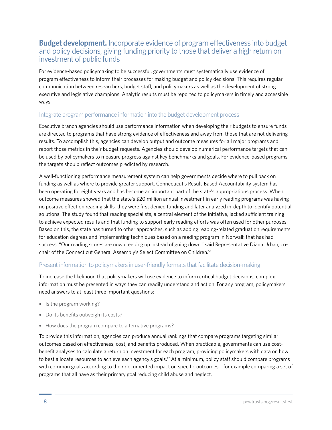### **Budget development.** Incorporate evidence of program effectiveness into budget and policy decisions, giving funding priority to those that deliver a high return on investment of public funds

For evidence-based policymaking to be successful, governments must systematically use evidence of program effectiveness to inform their processes for making budget and policy decisions. This requires regular communication between researchers, budget staff, and policymakers as well as the development of strong executive and legislative champions. Analytic results must be reported to policymakers in timely and accessible ways.

### Integrate program performance information into the budget development process

Executive branch agencies should use performance information when developing their budgets to ensure funds are directed to programs that have strong evidence of effectiveness and away from those that are not delivering results. To accomplish this, agencies can develop output and outcome measures for all major programs and report those metrics in their budget requests. Agencies should develop numerical performance targets that can be used by policymakers to measure progress against key benchmarks and goals. For evidence-based programs, the targets should reflect outcomes predicted by research.

A well-functioning performance measurement system can help governments decide where to pull back on funding as well as where to provide greater support. Connecticut's Result-Based Accountability system has been operating for eight years and has become an important part of the state's appropriations process. When outcome measures showed that the state's \$20 million annual investment in early reading programs was having no positive effect on reading skills, they were first denied funding and later analyzed in-depth to identify potential solutions. The study found that reading specialists, a central element of the initiative, lacked sufficient training to achieve expected results and that funding to support early reading efforts was often used for other purposes. Based on this, the state has turned to other approaches, such as adding reading-related graduation requirements for education degrees and implementing techniques based on a reading program in Norwalk that has had success. "Our reading scores are now creeping up instead of going down," said Representative Diana Urban, cochair of the Connecticut General Assembly's Select Committee on Children.16

### Present information to policymakers in user-friendly formats that facilitate decision-making

To increase the likelihood that policymakers will use evidence to inform critical budget decisions, complex information must be presented in ways they can readily understand and act on. For any program, policymakers need answers to at least three important questions:

- Is the program working?
- Do its benefits outweigh its costs?
- How does the program compare to alternative programs?

To provide this information, agencies can produce annual rankings that compare programs targeting similar outcomes based on effectiveness, cost, and benefits produced. When practicable, governments can use costbenefit analyses to calculate a return on investment for each program, providing policymakers with data on how to best allocate resources to achieve each agency's goals.<sup>17</sup> At a minimum, policy staff should compare programs with common goals according to their documented impact on specific outcomes—for example comparing a set of programs that all have as their primary goal reducing child abuse and neglect.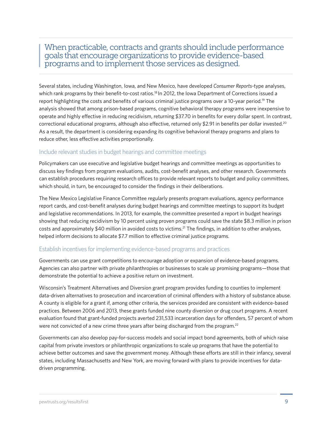### When practicable, contracts and grants should include performance goals that encourage organizations to provide evidence-based programs and to implement those services as designed.

Several states, including Washington, Iowa, and New Mexico, have developed *Consumer Reports*-type analyses, which rank programs by their benefit-to-cost ratios.<sup>18</sup> In 2012, the Iowa Department of Corrections issued a report highlighting the costs and benefits of various criminal justice programs over a 10-year period.<sup>19</sup> The analysis showed that among prison-based programs, cognitive behavioral therapy programs were inexpensive to operate and highly effective in reducing recidivism, returning \$37.70 in benefits for every dollar spent. In contrast, correctional educational programs, although also effective, returned only \$2.91 in benefits per dollar invested.<sup>20</sup> As a result, the department is considering expanding its cognitive behavioral therapy programs and plans to reduce other, less effective activities proportionally.

### Include relevant studies in budget hearings and committee meetings

Policymakers can use executive and legislative budget hearings and committee meetings as opportunities to discuss key findings from program evaluations, audits, cost-benefit analyses, and other research. Governments can establish procedures requiring research offices to provide relevant reports to budget and policy committees, which should, in turn, be encouraged to consider the findings in their deliberations.

The New Mexico Legislative Finance Committee regularly presents program evaluations, agency performance report cards, and cost-benefit analyses during budget hearings and committee meetings to support its budget and legislative recommendations. In 2013, for example, the committee presented a report in budget hearings showing that reducing recidivism by 10 percent using proven programs could save the state \$8.3 million in prison costs and approximately \$40 million in avoided costs to victims.21 The findings, in addition to other analyses, helped inform decisions to allocate \$7.7 million to effective criminal justice programs.

### Establish incentives for implementing evidence-based programs and practices

Governments can use grant competitions to encourage adoption or expansion of evidence-based programs. Agencies can also partner with private philanthropies or businesses to scale up promising programs—those that demonstrate the potential to achieve a positive return on investment.

Wisconsin's Treatment Alternatives and Diversion grant program provides funding to counties to implement data-driven alternatives to prosecution and incarceration of criminal offenders with a history of substance abuse. A county is eligible for a grant if, among other criteria, the services provided are consistent with evidence-based practices. Between 2006 and 2013, these grants funded nine county diversion or drug court programs. A recent evaluation found that grant-funded projects averted 231,533 incarceration days for offenders, 57 percent of whom were not convicted of a new crime three years after being discharged from the program.<sup>22</sup>

Governments can also develop pay-for-success models and social impact bond agreements, both of which raise capital from private investors or philanthropic organizations to scale up programs that have the potential to achieve better outcomes and save the government money. Although these efforts are still in their infancy, several states, including Massachusetts and New York, are moving forward with plans to provide incentives for datadriven programming.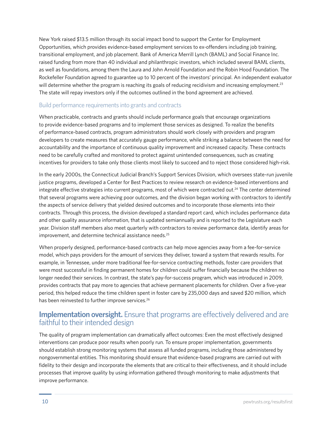New York raised \$13.5 million through its social impact bond to support the Center for Employment Opportunities, which provides evidence-based employment services to ex-offenders including job training, transitional employment, and job placement. Bank of America Merrill Lynch (BAML) and Social Finance Inc. raised funding from more than 40 individual and philanthropic investors, which included several BAML clients, as well as foundations, among them the Laura and John Arnold Foundation and the Robin Hood Foundation. The Rockefeller Foundation agreed to guarantee up to 10 percent of the investors' principal. An independent evaluator will determine whether the program is reaching its goals of reducing recidivism and increasing employment.<sup>23</sup> The state will repay investors only if the outcomes outlined in the bond agreement are achieved.

### Build performance requirements into grants and contracts

When practicable, contracts and grants should include performance goals that encourage organizations to provide evidence-based programs and to implement those services as designed. To realize the benefits of performance-based contracts, program administrators should work closely with providers and program developers to create measures that accurately gauge performance, while striking a balance between the need for accountability and the importance of continuous quality improvement and increased capacity. These contracts need to be carefully crafted and monitored to protect against unintended consequences, such as creating incentives for providers to take only those clients most likely to succeed and to reject those considered high-risk.

In the early 2000s, the Connecticut Judicial Branch's Support Services Division, which oversees state-run juvenile justice programs, developed a Center for Best Practices to review research on evidence-based interventions and integrate effective strategies into current programs, most of which were contracted out.24 The center determined that several programs were achieving poor outcomes, and the division began working with contractors to identify the aspects of service delivery that yielded desired outcomes and to incorporate those elements into their contracts. Through this process, the division developed a standard report card, which includes performance data and other quality assurance information, that is updated semiannually and is reported to the Legislature each year. Division staff members also meet quarterly with contractors to review performance data, identify areas for improvement, and determine technical assistance needs.<sup>25</sup>

When properly designed, performance-based contracts can help move agencies away from a fee-for-service model, which pays providers for the amount of services they deliver, toward a system that rewards results. For example, in Tennessee, under more traditional fee-for-service contracting methods, foster care providers that were most successful in finding permanent homes for children could suffer financially because the children no longer needed their services. In contrast, the state's pay-for-success program, which was introduced in 2009, provides contracts that pay more to agencies that achieve permanent placements for children. Over a five-year period, this helped reduce the time children spent in foster care by 235,000 days and saved \$20 million, which has been reinvested to further improve services.<sup>26</sup>

### **Implementation oversight.** Ensure that programs are effectively delivered and are faithful to their intended design

The quality of program implementation can dramatically affect outcomes: Even the most effectively designed interventions can produce poor results when poorly run. To ensure proper implementation, governments should establish strong monitoring systems that assess all funded programs, including those administered by nongovernmental entities. This monitoring should ensure that evidence-based programs are carried out with fidelity to their design and incorporate the elements that are critical to their effectiveness, and it should include processes that improve quality by using information gathered through monitoring to make adjustments that improve performance.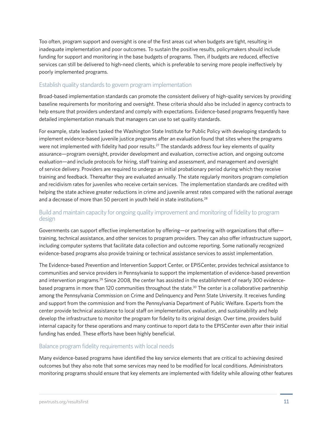Too often, program support and oversight is one of the first areas cut when budgets are tight, resulting in inadequate implementation and poor outcomes. To sustain the positive results, policymakers should include funding for support and monitoring in the base budgets of programs. Then, if budgets are reduced, effective services can still be delivered to high-need clients, which is preferable to serving more people ineffectively by poorly implemented programs.

### Establish quality standards to govern program implementation

Broad-based implementation standards can promote the consistent delivery of high-quality services by providing baseline requirements for monitoring and oversight. These criteria should also be included in agency contracts to help ensure that providers understand and comply with expectations. Evidence-based programs frequently have detailed implementation manuals that managers can use to set quality standards.

For example, state leaders tasked the Washington State Institute for Public Policy with developing standards to implement evidence-based juvenile justice programs after an evaluation found that sites where the programs were not implemented with fidelity had poor results.<sup>27</sup> The standards address four key elements of quality assurance—program oversight, provider development and evaluation, corrective action, and ongoing outcome evaluation—and include protocols for hiring, staff training and assessment, and management and oversight of service delivery. Providers are required to undergo an initial probationary period during which they receive training and feedback. Thereafter they are evaluated annually. The state regularly monitors program completion and recidivism rates for juveniles who receive certain services. The implementation standards are credited with helping the state achieve greater reductions in crime and juvenile arrest rates compared with the national average and a decrease of more than 50 percent in youth held in state institutions.<sup>28</sup>

### Build and maintain capacity for ongoing quality improvement and monitoring of fidelity to program design

Governments can support effective implementation by offering—or partnering with organizations that offer training, technical assistance, and other services to program providers. They can also offer infrastructure support, including computer systems that facilitate data collection and outcome reporting. Some nationally recognized evidence-based programs also provide training or technical assistance services to assist implementation.

The Evidence-based Prevention and Intervention Support Center, or EPISCenter, provides technical assistance to communities and service providers in Pennsylvania to support the implementation of evidence-based prevention and intervention programs.29 Since 2008, the center has assisted in the establishment of nearly 300 evidencebased programs in more than 120 communities throughout the state.<sup>30</sup> The center is a collaborative partnership among the Pennsylvania Commission on Crime and Delinquency and Penn State University. It receives funding and support from the commission and from the Pennsylvania Department of Public Welfare. Experts from the center provide technical assistance to local staff on implementation, evaluation, and sustainability and help develop the infrastructure to monitor the program for fidelity to its original design. Over time, providers build internal capacity for these operations and many continue to report data to the EPISCenter even after their initial funding has ended. These efforts have been highly beneficial.

### Balance program fidelity requirements with local needs

Many evidence-based programs have identified the key service elements that are critical to achieving desired outcomes but they also note that some services may need to be modified for local conditions. Administrators monitoring programs should ensure that key elements are implemented with fidelity while allowing other features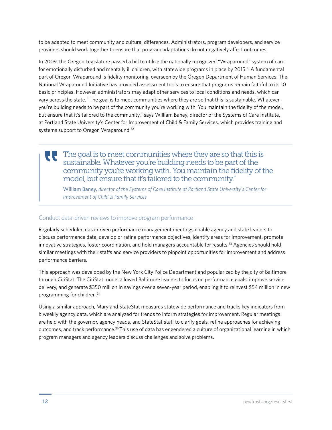to be adapted to meet community and cultural differences. Administrators, program developers, and service providers should work together to ensure that program adaptations do not negatively affect outcomes.

In 2009, the Oregon Legislature passed a bill to utilize the nationally recognized "Wraparound" system of care for emotionally disturbed and mentally ill children, with statewide programs in place by 2015.<sup>31</sup> A fundamental part of Oregon Wraparound is fidelity monitoring, overseen by the Oregon Department of Human Services. The National Wraparound Initiative has provided assessment tools to ensure that programs remain faithful to its 10 basic principles. However, administrators may adapt other services to local conditions and needs, which can vary across the state. "The goal is to meet communities where they are so that this is sustainable. Whatever you're building needs to be part of the community you're working with. You maintain the fidelity of the model, but ensure that it's tailored to the community," says William Baney, director of the Systems of Care Institute, at Portland State University's Center for Improvement of Child & Family Services, which provides training and systems support to Oregon Wraparound.<sup>32</sup>

### The goal is to meet communities where they are so that this is UU sustainable. Whatever you're building needs to be part of the community you're working with. You maintain the fidelity of the model, but ensure that it's tailored to the community."

William Baney, *director of the Systems of Care Institute at Portland State University's Center for Improvement of Child & Family Services*

### Conduct data-driven reviews to improve program performance

Regularly scheduled data-driven performance management meetings enable agency and state leaders to discuss performance data, develop or refine performance objectives, identify areas for improvement, promote innovative strategies, foster coordination, and hold managers accountable for results.<sup>33</sup> Agencies should hold similar meetings with their staffs and service providers to pinpoint opportunities for improvement and address performance barriers.

This approach was developed by the New York City Police Department and popularized by the city of Baltimore through CitiStat. The CitiStat model allowed Baltimore leaders to focus on performance goals, improve service delivery, and generate \$350 million in savings over a seven-year period, enabling it to reinvest \$54 million in new programming for children.34

Using a similar approach, Maryland StateStat measures statewide performance and tracks key indicators from biweekly agency data, which are analyzed for trends to inform strategies for improvement. Regular meetings are held with the governor, agency heads, and StateStat staff to clarify goals, refine approaches for achieving outcomes, and track performance.35 This use of data has engendered a culture of organizational learning in which program managers and agency leaders discuss challenges and solve problems.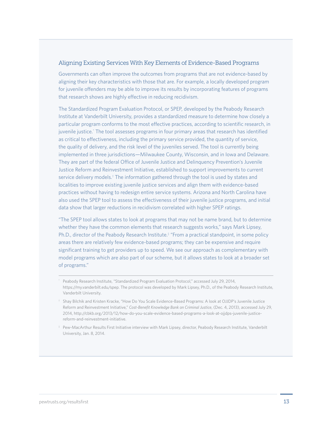#### Aligning Existing Services With Key Elements of Evidence-Based Programs

Governments can often improve the outcomes from programs that are not evidence-based by aligning their key characteristics with those that are. For example, a locally developed program for juvenile offenders may be able to improve its results by incorporating features of programs that research shows are highly effective in reducing recidivism.

The Standardized Program Evaluation Protocol, or SPEP, developed by the Peabody Research Institute at Vanderbilt University, provides a standardized measure to determine how closely a particular program conforms to the most effective practices, according to scientific research, in juvenile justice.' The tool assesses programs in four primary areas that research has identified as critical to effectiveness, including the primary service provided, the quantity of service, the quality of delivery, and the risk level of the juveniles served. The tool is currently being implemented in three jurisdictions—Milwaukee County, Wisconsin, and in Iowa and Delaware. They are part of the federal Office of Juvenile Justice and Delinquency Prevention's Juvenile Justice Reform and Reinvestment Initiative, established to support improvements to current service delivery models.<sup>†</sup> The information gathered through the tool is used by states and localities to improve existing juvenile justice services and align them with evidence-based practices without having to redesign entire service systems. Arizona and North Carolina have also used the SPEP tool to assess the effectiveness of their juvenile justice programs, and initial data show that larger reductions in recidivism correlated with higher SPEP ratings.

"The SPEP tool allows states to look at programs that may not be name brand, but to determine whether they have the common elements that research suggests works," says Mark Lipsey, Ph.D., director of the Peabody Research Institute.<sup>\*</sup> "From a practical standpoint, in some policy areas there are relatively few evidence-based programs; they can be expensive and require significant training to get providers up to speed. We see our approach as complementary with model programs which are also part of our scheme, but it allows states to look at a broader set of programs."

<sup>\*</sup> Peabody Research Institute, "Standardized Program Evaluation Protocol," accessed July 29, 2014, https://my.vanderbilt.edu/spep. The protocol was developed by Mark Lipsey, Ph.D., of the Peabody Research Institute, Vanderbilt University.

<sup>†</sup> Shay Bilchik and Kristen Kracke, "How Do You Scale Evidence-Based Programs: A look at OJJDP's Juvenile Justice Reform and Reinvestment Initiative," *Cost-Benefit Knowledge Bank on Criminal Justice*, (Dec. 4, 2013), accessed July 29, 2014, [http://cbkb.org/2013/12/how-do-you-scale-evidence-based-programs-a-look-at-ojjdps-juvenile-justice](http://cbkb.org/2013/12/how-do-you-scale-evidence-based-programs-a-look-at-ojjdps-juvenile-justice-reform-and-reinvestment-initiative/)[reform-and-reinvestment-initiative](http://cbkb.org/2013/12/how-do-you-scale-evidence-based-programs-a-look-at-ojjdps-juvenile-justice-reform-and-reinvestment-initiative/).

<sup>‡</sup> Pew-MacArthur Results First Initiative interview with Mark Lipsey, director, Peabody Research Institute, Vanderbilt University, Jan. 8, 2014.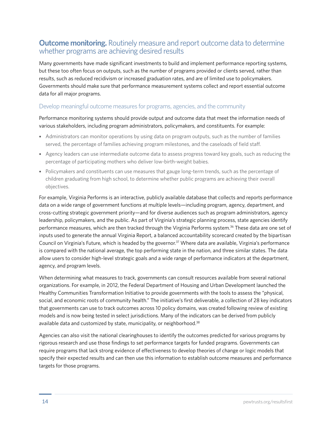### **Outcome monitoring.** Routinely measure and report outcome data to determine whether programs are achieving desired results

Many governments have made significant investments to build and implement performance reporting systems, but these too often focus on outputs, such as the number of programs provided or clients served, rather than results, such as reduced recidivism or increased graduation rates, and are of limited use to policymakers. Governments should make sure that performance measurement systems collect and report essential outcome data for all major programs.

### Develop meaningful outcome measures for programs, agencies, and the community

Performance monitoring systems should provide output and outcome data that meet the information needs of various stakeholders, including program administrators, policymakers, and constituents. For example:

- Administrators can monitor operations by using data on program outputs, such as the number of families served, the percentage of families achieving program milestones, and the caseloads of field staff.
- Agency leaders can use intermediate outcome data to assess progress toward key goals, such as reducing the percentage of participating mothers who deliver low-birth-weight babies.
- Policymakers and constituents can use measures that gauge long-term trends, such as the percentage of children graduating from high school, to determine whether public programs are achieving their overall objectives.

For example, Virginia Performs is an interactive, publicly available database that collects and reports performance data on a wide range of government functions at multiple levels—including program, agency, department, and cross-cutting strategic government priority—and for diverse audiences such as program administrators, agency leadership, policymakers, and the public. As part of Virginia's strategic planning process, state agencies identify performance measures, which are then tracked through the Virginia Performs system.36 These data are one set of inputs used to generate the annual Virginia Report, a balanced accountability scorecard created by the bipartisan Council on Virginia's Future, which is headed by the governor.<sup>37</sup> Where data are available, Virginia's performance is compared with the national average, the top performing state in the nation, and three similar states. The data allow users to consider high-level strategic goals and a wide range of performance indicators at the department, agency, and program levels.

When determining what measures to track, governments can consult resources available from several national organizations. For example, in 2012, the Federal Department of Housing and Urban Development launched the Healthy Communities Transformation Initiative to provide governments with the tools to assess the "physical, social, and economic roots of community health." The initiative's first deliverable, a collection of 28 key indicators that governments can use to track outcomes across 10 policy domains, was created following review of existing models and is now being tested in select jurisdictions. Many of the indicators can be derived from publicly available data and customized by state, municipality, or neighborhood.<sup>38</sup>

Agencies can also visit the national clearinghouses to identify the outcomes predicted for various programs by rigorous research and use those findings to set performance targets for funded programs. Governments can require programs that lack strong evidence of effectiveness to develop theories of change or logic models that specify their expected results and can then use this information to establish outcome measures and performance targets for those programs.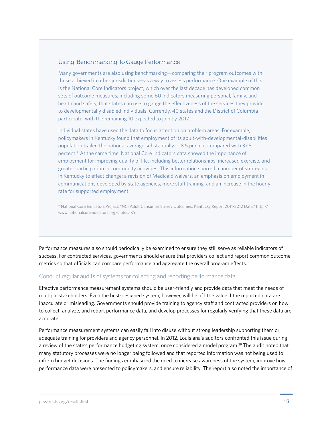#### Using 'Benchmarking' to Gauge Performance

Many governments are also using benchmarking—comparing their program outcomes with those achieved in other jurisdictions—as a way to assess performance. One example of this is the National Core Indicators project, which over the last decade has developed common sets of outcome measures, including some 60 indicators measuring personal, family, and health and safety, that states can use to gauge the effectiveness of the services they provide to developmentally disabled individuals. Currently, 40 states and the District of Columbia participate, with the remaining 10 expected to join by 2017.

Individual states have used the data to focus attention on problem areas. For example, policymakers in Kentucky found that employment of its adult-with-developmental-disabilities population trailed the national average substantially—18.5 percent compared with 37.8 percent.\* At the same time, National Core Indicators data showed the importance of employment for improving quality of life, including better relationships, increased exercise, and greater participation in community activities. This information spurred a number of strategies in Kentucky to effect change: a revision of Medicaid waivers, an emphasis on employment in communications developed by state agencies, more staff training, and an increase in the hourly rate for supported employment.

\* National Core Indicators Project, "NCI Adult Consumer Survey Outcomes: Kentucky Report 2011-2012 Data," [http://](http://www.nationalcoreindicators.org/states/KY) [www.nationalcoreindicators.org/states/KY.](http://www.nationalcoreindicators.org/states/KY)

Performance measures also should periodically be examined to ensure they still serve as reliable indicators of success. For contracted services, governments should ensure that providers collect and report common outcome metrics so that officials can compare performance and aggregate the overall program effects.

### Conduct regular audits of systems for collecting and reporting performance data

Effective performance measurement systems should be user-friendly and provide data that meet the needs of multiple stakeholders. Even the best-designed system, however, will be of little value if the reported data are inaccurate or misleading. Governments should provide training to agency staff and contracted providers on how to collect, analyze, and report performance data, and develop processes for regularly verifying that these data are accurate.

Performance measurement systems can easily fall into disuse without strong leadership supporting them or adequate training for providers and agency personnel. In 2012, Louisiana's auditors confronted this issue during a review of the state's performance budgeting system, once considered a model program.39 The audit noted that many statutory processes were no longer being followed and that reported information was not being used to inform budget decisions. The findings emphasized the need to increase awareness of the system, improve how performance data were presented to policymakers, and ensure reliability. The report also noted the importance of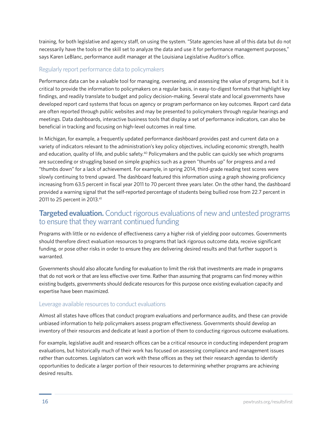training, for both legislative and agency staff, on using the system. "State agencies have all of this data but do not necessarily have the tools or the skill set to analyze the data and use it for performance management purposes," says Karen LeBlanc, performance audit manager at the Louisiana Legislative Auditor's office.

### Regularly report performance data to policymakers

Performance data can be a valuable tool for managing, overseeing, and assessing the value of programs, but it is critical to provide the information to policymakers on a regular basis, in easy-to-digest formats that highlight key findings, and readily translate to budget and policy decision-making. Several state and local governments have developed report card systems that focus on agency or program performance on key outcomes. Report card data are often reported through public websites and may be presented to policymakers through regular hearings and meetings. Data dashboards, interactive business tools that display a set of performance indicators, can also be beneficial in tracking and focusing on high-level outcomes in real time.

In Michigan, for example, a frequently updated performance dashboard provides past and current data on a variety of indicators relevant to the administration's key policy objectives, including economic strength, health and education, quality of life, and public safety.<sup>40</sup> Policymakers and the public can quickly see which programs are succeeding or struggling based on simple graphics such as a green "thumbs up" for progress and a red "thumbs down" for a lack of achievement. For example, in spring 2014, third-grade reading test scores were slowly continuing to trend upward. The dashboard featured this information using a graph showing proficiency increasing from 63.5 percent in fiscal year 2011 to 70 percent three years later. On the other hand, the dashboard provided a warning signal that the self-reported percentage of students being bullied rose from 22.7 percent in 2011 to 25 percent in 2013.41

### **Targeted evaluation.** Conduct rigorous evaluations of new and untested programs to ensure that they warrant continued funding

Programs with little or no evidence of effectiveness carry a higher risk of yielding poor outcomes. Governments should therefore direct evaluation resources to programs that lack rigorous outcome data, receive significant funding, or pose other risks in order to ensure they are delivering desired results and that further support is warranted.

Governments should also allocate funding for evaluation to limit the risk that investments are made in programs that do not work or that are less effective over time. Rather than assuming that programs can find money within existing budgets, governments should dedicate resources for this purpose once existing evaluation capacity and expertise have been maximized.

### Leverage available resources to conduct evaluations

Almost all states have offices that conduct program evaluations and performance audits, and these can provide unbiased information to help policymakers assess program effectiveness. Governments should develop an inventory of their resources and dedicate at least a portion of them to conducting rigorous outcome evaluations.

For example, legislative audit and research offices can be a critical resource in conducting independent program evaluations, but historically much of their work has focused on assessing compliance and management issues rather than outcomes. Legislators can work with these offices as they set their research agendas to identify opportunities to dedicate a larger portion of their resources to determining whether programs are achieving desired results.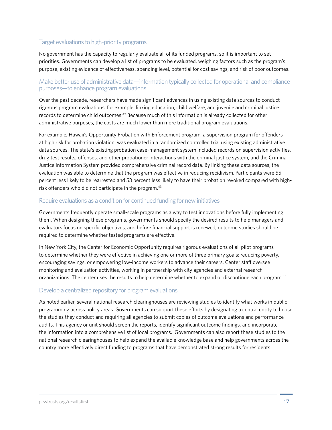### Target evaluations to high-priority programs

No government has the capacity to regularly evaluate all of its funded programs, so it is important to set priorities. Governments can develop a list of programs to be evaluated, weighing factors such as the program's purpose, existing evidence of effectiveness, spending level, potential for cost savings, and risk of poor outcomes.

### Make better use of administrative data—information typically collected for operational and compliance purposes—to enhance program evaluations

Over the past decade, researchers have made significant advances in using existing data sources to conduct rigorous program evaluations, for example, linking education, child welfare, and juvenile and criminal justice records to determine child outcomes.42 Because much of this information is already collected for other administrative purposes, the costs are much lower than more traditional program evaluations.

For example, Hawaii's Opportunity Probation with Enforcement program, a supervision program for offenders at high risk for probation violation, was evaluated in a randomized controlled trial using existing administrative data sources. The state's existing probation case-management system included records on supervision activities, drug test results, offenses, and other probationer interactions with the criminal justice system, and the Criminal Justice Information System provided comprehensive criminal record data. By linking these data sources, the evaluation was able to determine that the program was effective in reducing recidivism. Participants were 55 percent less likely to be rearrested and 53 percent less likely to have their probation revoked compared with highrisk offenders who did not participate in the program.<sup>43</sup>

### Require evaluations as a condition for continued funding for new initiatives

Governments frequently operate small-scale programs as a way to test innovations before fully implementing them. When designing these programs, governments should specify the desired results to help managers and evaluators focus on specific objectives, and before financial support is renewed, outcome studies should be required to determine whether tested programs are effective.

In New York City, the Center for Economic Opportunity requires rigorous evaluations of all pilot programs to determine whether they were effective in achieving one or more of three primary goals: reducing poverty, encouraging savings, or empowering low-income workers to advance their careers. Center staff oversee monitoring and evaluation activities, working in partnership with city agencies and external research organizations. The center uses the results to help determine whether to expand or discontinue each program.44

### Develop a centralized repository for program evaluations

As noted earlier, several national research clearinghouses are reviewing studies to identify what works in public programming across policy areas. Governments can support these efforts by designating a central entity to house the studies they conduct and requiring all agencies to submit copies of outcome evaluations and performance audits. This agency or unit should screen the reports, identify significant outcome findings, and incorporate the information into a comprehensive list of local programs. Governments can also report these studies to the national research clearinghouses to help expand the available knowledge base and help governments across the country more effectively direct funding to programs that have demonstrated strong results for residents.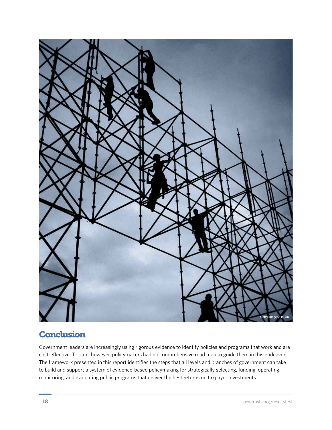

## **Conclusion**

Government leaders are increasingly using rigorous evidence to identify policies and programs that work and are cost-effective. To date, however, policymakers had no comprehensive road map to guide them in this endeavor. The framework presented in this report identifies the steps that all levels and branches of government can take to build and support a system of evidence-based policymaking for strategically selecting, funding, operating, monitoring, and evaluating public programs that deliver the best returns on taxpayer investments.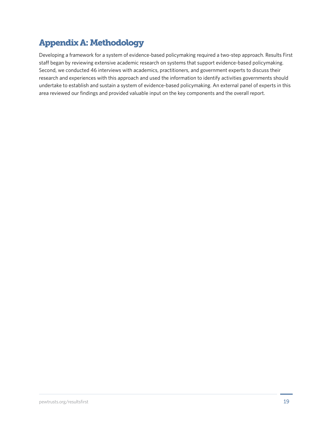# Appendix A: Methodology

Developing a framework for a system of evidence-based policymaking required a two-step approach. Results First staff began by reviewing extensive academic research on systems that support evidence-based policymaking. Second, we conducted 46 interviews with academics, practitioners, and government experts to discuss their research and experiences with this approach and used the information to identify activities governments should undertake to establish and sustain a system of evidence-based policymaking. An external panel of experts in this area reviewed our findings and provided valuable input on the key components and the overall report.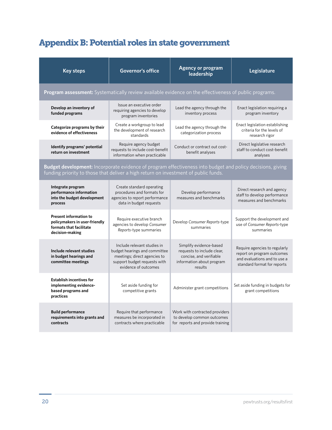# Appendix B: Potential roles in state government

| <b>Key steps</b>                                                                                                                                                                                  | <b>Governor's office</b>                                                                                                                             | <b>Agency or program</b><br>leadership                                                                                   | Legislature                                                                                                                |  |  |
|---------------------------------------------------------------------------------------------------------------------------------------------------------------------------------------------------|------------------------------------------------------------------------------------------------------------------------------------------------------|--------------------------------------------------------------------------------------------------------------------------|----------------------------------------------------------------------------------------------------------------------------|--|--|
| Program assessment: Systematically review available evidence on the effectiveness of public programs.                                                                                             |                                                                                                                                                      |                                                                                                                          |                                                                                                                            |  |  |
| Develop an inventory of<br>funded programs                                                                                                                                                        | Issue an executive order<br>requiring agencies to develop<br>program inventories                                                                     | Lead the agency through the<br>inventory process                                                                         | Enact legislation requiring a<br>program inventory                                                                         |  |  |
| Categorize programs by their<br>evidence of effectiveness                                                                                                                                         | Create a workgroup to lead<br>the development of research<br>standards                                                                               | Lead the agency through the<br>categorization process                                                                    | Enact legislation establishing<br>criteria for the levels of<br>research rigor                                             |  |  |
| Identify programs' potential<br>return on investment                                                                                                                                              | Require agency budget<br>requests to include cost-benefit<br>information when practicable                                                            | Conduct or contract out cost-<br>benefit analyses                                                                        | Direct legislative research<br>staff to conduct cost-benefit<br>analyses                                                   |  |  |
| Budget development: Incorporate evidence of program effectiveness into budget and policy decisions, giving<br>funding priority to those that deliver a high return on investment of public funds. |                                                                                                                                                      |                                                                                                                          |                                                                                                                            |  |  |
| Integrate program<br>performance information<br>into the budget development<br>process                                                                                                            | Create standard operating<br>procedures and formats for<br>agencies to report performance<br>data in budget requests                                 | Develop performance<br>measures and benchmarks                                                                           | Direct research and agency<br>staff to develop performance<br>measures and benchmarks                                      |  |  |
| <b>Present information to</b><br>policymakers in user-friendly<br>formats that facilitate<br>decision-making                                                                                      | Require executive branch<br>agencies to develop Consumer<br>Reports-type summaries                                                                   | Develop Consumer Reports-type<br>summaries                                                                               | Support the development and<br>use of Consumer Reports-type<br>summaries                                                   |  |  |
| Include relevant studies<br>in budget hearings and<br>committee meetings                                                                                                                          | Include relevant studies in<br>budget hearings and committee<br>meetings; direct agencies to<br>support budget requests with<br>evidence of outcomes | Simplify evidence-based<br>requests to include clear,<br>concise, and verifiable<br>information about program<br>results | Require agencies to regularly<br>report on program outcomes<br>and evaluations and to use a<br>standard format for reports |  |  |
| <b>Establish incentives for</b><br>implementing evidence-<br>based programs and<br>practices                                                                                                      | Set aside funding for<br>competitive grants                                                                                                          | Administer grant competitions                                                                                            | Set aside funding in budgets for<br>grant competitions                                                                     |  |  |
| <b>Build performance</b><br>requirements into grants and<br>contracts                                                                                                                             | Require that performance<br>measures be incorporated in<br>contracts where practicable                                                               | Work with contracted providers<br>to develop common outcomes<br>for reports and provide training                         |                                                                                                                            |  |  |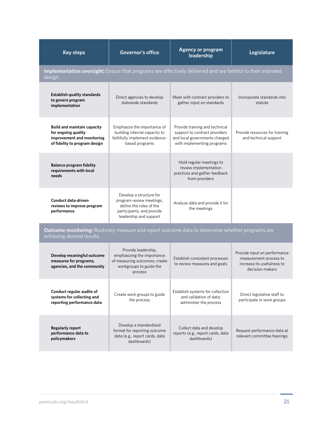| <b>Key steps</b>                                                                                                              | <b>Governor's office</b>                                                                                                              | <b>Agency or program</b><br>leadership                                                                                         | Legislature                                                                                             |  |  |
|-------------------------------------------------------------------------------------------------------------------------------|---------------------------------------------------------------------------------------------------------------------------------------|--------------------------------------------------------------------------------------------------------------------------------|---------------------------------------------------------------------------------------------------------|--|--|
| Implementation oversight: Ensure that programs are effectively delivered and are faithful to their intended<br>design.        |                                                                                                                                       |                                                                                                                                |                                                                                                         |  |  |
| <b>Establish quality standards</b><br>to govern program<br>implementation                                                     | Direct agencies to develop<br>statewide standards                                                                                     | Meet with contract providers to<br>gather input on standards                                                                   | Incorporate standards into<br>statute                                                                   |  |  |
| <b>Build and maintain capacity</b><br>for ongoing quality<br>improvement and monitoring<br>of fidelity to program design      | Emphasize the importance of<br>building internal capacity to<br>faithfully implement evidence-<br>based programs                      | Provide training and technical<br>support to contract providers<br>and local governments charged<br>with implementing programs | Provide resources for training<br>and technical support                                                 |  |  |
| <b>Balance program fidelity</b><br>requirements with local<br>needs                                                           |                                                                                                                                       | Hold regular meetings to<br>review implementation<br>practices and gather feedback<br>from providers                           |                                                                                                         |  |  |
| Conduct data-driven<br>reviews to improve program<br>performance                                                              | Develop a structure for<br>program review meetings,<br>define the roles of the<br>participants, and provide<br>leadership and support | Analyze data and provide it for<br>the meetings                                                                                |                                                                                                         |  |  |
| Outcome monitoring: Routinely measure and report outcome data to determine whether programs are<br>achieving desired results. |                                                                                                                                       |                                                                                                                                |                                                                                                         |  |  |
| Develop meaningful outcome<br>measures for programs,<br>agencies, and the community                                           | Provide leadership,<br>emphasizing the importance<br>of measuring outcomes; create<br>workgroups to guide the<br>process              | Establish consistent processes<br>to review measures and goals                                                                 | Provide input on performance<br>measurement process to<br>increase its usefulness to<br>decision-makers |  |  |
| Conduct regular audits of<br>systems for collecting and<br>reporting performance data                                         | Create work groups to guide<br>the process                                                                                            | Establish systems for collection<br>and validation of data;<br>administer the process                                          | Direct legislative staff to<br>participate in work groups                                               |  |  |
| <b>Regularly report</b><br>performance data to<br>policymakers                                                                | Develop a standardized<br>format for reporting outcome<br>data (e.g., report cards, data<br>dashboards)                               | Collect data and develop<br>reports (e.g., report cards, data<br>dashboards)                                                   | Request performance data at<br>relevant committee hearings                                              |  |  |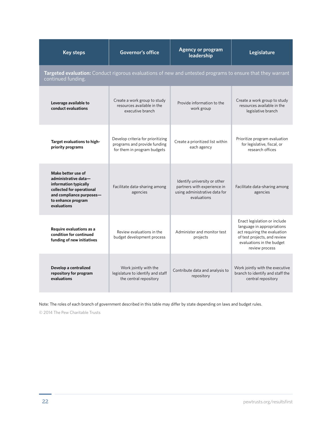| <b>Key steps</b>                                                                                                                                                  | <b>Governor's office</b>                                                                         | <b>Agency or program</b><br>leadership                                                                      | Legislature                                                                                                                                                               |  |  |
|-------------------------------------------------------------------------------------------------------------------------------------------------------------------|--------------------------------------------------------------------------------------------------|-------------------------------------------------------------------------------------------------------------|---------------------------------------------------------------------------------------------------------------------------------------------------------------------------|--|--|
| Targeted evaluation: Conduct rigorous evaluations of new and untested programs to ensure that they warrant<br>continued funding.                                  |                                                                                                  |                                                                                                             |                                                                                                                                                                           |  |  |
| Leverage available to<br>conduct evaluations                                                                                                                      | Create a work group to study<br>resources available in the<br>executive branch                   | Provide information to the<br>work group                                                                    | Create a work group to study<br>resources available in the<br>legislative branch                                                                                          |  |  |
| Target evaluations to high-<br>priority programs                                                                                                                  | Develop criteria for prioritizing<br>programs and provide funding<br>for them in program budgets | Create a prioritized list within<br>each agency                                                             | Prioritize program evaluation<br>for legislative, fiscal, or<br>research offices                                                                                          |  |  |
| Make better use of<br>administrative data-<br>information typically<br>collected for operational<br>and compliance purposes-<br>to enhance program<br>evaluations | Facilitate data-sharing among<br>agencies                                                        | Identify university or other<br>partners with experience in<br>using administrative data for<br>evaluations | Facilitate data-sharing among<br>agencies                                                                                                                                 |  |  |
| Require evaluations as a<br>condition for continued<br>funding of new initiatives                                                                                 | Review evaluations in the<br>budget development process                                          | Administer and monitor test<br>projects                                                                     | Enact legislation or include<br>language in appropriations<br>act requiring the evaluation<br>of test projects, and review<br>evaluations in the budget<br>review process |  |  |
| Develop a centralized<br>repository for program<br>evaluations                                                                                                    | Work jointly with the<br>legislature to identify and staff<br>the central repository             | Contribute data and analysis to<br>repository                                                               | Work jointly with the executive<br>branch to identify and staff the<br>central repository                                                                                 |  |  |

Note: The roles of each branch of government described in this table may differ by state depending on laws and budget rules.

© 2014 The Pew Charitable Trusts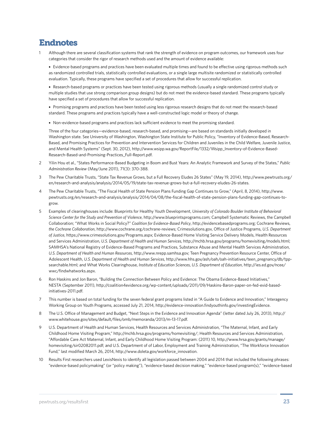## Endnotes

Although there are several classification systems that rank the strength of evidence on program outcomes, our framework uses four categories that consider the rigor of research methods used and the amount of evidence available:

• Evidence-based programs and practices have been evaluated multiple times and found to be effective using rigorous methods such as randomized controlled trials, statistically controlled evaluations, or a single large multisite randomized or statistically controlled evaluation. Typically, these programs have specified a set of procedures that allow for successful replication.

• Research-based programs or practices have been tested using rigorous methods (usually a single randomized control study or multiple studies that use strong comparison group designs) but do not meet the evidence-based standard. These programs typically have specified a set of procedures that allow for successful replication.

• Promising programs and practices have been tested using less rigorous research designs that do not meet the research-based standard. These programs and practices typically have a well-constructed logic model or theory of change.

• Non-evidence-based programs and practices lack sufficient evidence to meet the promising standard.

Three of the four categories—evidence-based, research-based, and promising—are based on standards initially developed in Washington state. See University of Washington, Washington State Institute for Public Policy, "Inventory of Evidence-Based, Research-Based, and Promising Practices for Prevention and Intervention Services for Children and Juveniles in the Child Welfare, Juvenile Justice, and Mental Health Systems" (Sept. 30, 2012), [http://www.wsipp.wa.gov/ReportFile/1332/Wsipp\\_Inventory-of-Evidence-Based-](http://www.wsipp.wa.gov/ReportFile/1332/Wsipp_Inventory-of-Evidence-Based-Research-Based-and-Promising-Practices_Full-Report.pdf)[Research-Based-and-Promising-Practices\\_Full-Report.pdf.](http://www.wsipp.wa.gov/ReportFile/1332/Wsipp_Inventory-of-Evidence-Based-Research-Based-and-Promising-Practices_Full-Report.pdf)

- 2 Yilin Hou et al., "States Performance-Based Budgeting in Boom and Bust Years: An Analytic Framework and Survey of the States," *Public Administration Review* (May/June 2011), 71(3): 370-388.
- 3 The Pew Charitable Trusts, "State Tax Revenue Grows, but a Full Recovery Eludes 26 States" (May 19, 2014), [http://www.pewtrusts.org/](http://www.pewtrusts.org/en/research-and-analysis/analysis/2014/05/19/states) [en/research-and-analysis/analysis/2014/05/19/state](http://www.pewtrusts.org/en/research-and-analysis/analysis/2014/05/19/states)-tax-revenue-grows-but-a-full-recovery-eludes-26-states.
- 4 The Pew Charitable Trusts, "The Fiscal Health of State Pension Plans Funding Gap Continues to Grow," (April, 8, 2014), [http://www.](http://www.pewtrusts.org/en/research-and-analysis/analysis/2014/04/08/the-fiscal-health-of-state-pension-plans-funding-gap-continues-to-grow) [pewtrusts.org/en/research-and-analysis/analysis/2014/04/08/the](http://www.pewtrusts.org/en/research-and-analysis/analysis/2014/04/08/the-fiscal-health-of-state-pension-plans-funding-gap-continues-to-grow)-fiscal-health-of-state-pension-plans-funding-gap-continues-togrow.
- 5 Examples of clearinghouses include: Blueprints for Healthy Youth Development, *University of Colorado Boulder Institute of Behavioral Science Center for the Study and Prevention of Violence*, http://www.blueprintsprograms.com; Campbell Systematic Reviews, the Campbell Collaboration; "What Works in Social Policy?" *Coalition for Evidence-Based Policy*, http://evidencebasedprograms.org; Cochrane Reviews, *the Cochrane Collaboration*, http://www.cochrane.org/cochrane-reviews; Crimesolutions.gov, Office of Justice Programs, *U.S. Department of Justice*, https://www.crimesolutions.gov/Programs.aspx; Evidence-Based Home Visiting Service Delivery Models, Health Resources and Services Administration, *U.S. Department of Health and Human Services*, http://mchb.hrsa.gov/programs/homevisiting/models.html; SAMHSA's National Registry of Evidence-Based Programs and Practices, Substance Abuse and Mental Health Services Administration, *U.S. Department of Health and Human Resources*, http://www.nrepp.samhsa.gov; Teen Pregnancy Prevention Resource Center, Office of Adolescent Health, *U.S. Department of Health and Human Services*, http://www.hhs.gov/ash/oah/oah-initiatives/teen\_pregnancy/db/tppsearchable.html; and What Works Clearinghouse, *Institute of Education Sciences*, *U.S. Department of Education*, http://ies.ed.gov/ncee/ wwc/findwhatworks.aspx.
- 6 Ron Haskins and Jon Baron, "Building the Connection Between Policy and Evidence: The Obama Evidence-Based Initiatives," NESTA (September 2011), [http://coalition4evidence.org/wp-content/uploads/2011/09/Haskins-Baron-paper-on-fed-evid-based](http://coalition4evidence.org/wp-content/uploads/2011/09/Haskins-Baron-paper-on-fed-evid-based-initiatives-2011.pdf)[initiatives-2011.pdf.](http://coalition4evidence.org/wp-content/uploads/2011/09/Haskins-Baron-paper-on-fed-evid-based-initiatives-2011.pdf)
- 7 This number is based on total funding for the seven federal grant programs listed in "A Guide to Evidence and Innovation," Interagency Working Group on Youth Programs, accessed July 21, 2014,<http://evidence-innovation.findyouthinfo.gov/investingEvidence>.
- 8 The U.S. Office of Management and Budget, "Next Steps in the Evidence and Innovation Agenda" (letter dated July 26, 2013), [http://](http://www.whitehouse.gov/sites/default/files/omb/memoranda/2013/m-13-17.pdf) [www.whitehouse.gov/sites/default/files/omb/memoranda/2013/m-13-17.pdf](http://www.whitehouse.gov/sites/default/files/omb/memoranda/2013/m-13-17.pdf).
- 9 U.S. Department of Health and Human Services, Health Resources and Services Administration, "The Maternal, Infant, and Early Childhood Home Visiting Program,"<http://mchb.hrsa.gov/programs/homevisiting>/; Health Resources and Services Administration, "Affordable Care Act Maternal, Infant, and Early Childhood Home Visiting Program: (2011) 10, [http://www.hrsa.gov/grants/manage/](http://www.hrsa.gov/grants/manage/homevisiting/sir02082011.pdf) [homevisiting/sir02082011.pdf](http://www.hrsa.gov/grants/manage/homevisiting/sir02082011.pdf); and U.S. Department of of Labor, Employment and Training Administration, "The Workforce Innovation Fund," last modified March 26, 2014, [http://www.doleta.gov/workforce\\_innovation.](http://www.doleta.gov/workforce_innovation)
- Results First researchers used LexisNexis to identify all legislation passed between 2004 and 2014 that included the following phrases: "evidence-based policymaking" (or "policy making"), "evidence-based decision making," "evidence-based program(s)," "evidence-based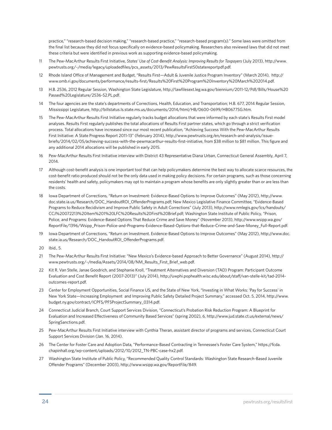practice," "research-based decision making," "research-based practice," "research-based program(s)." Some laws were omitted from the final list because they did not focus specifically on evidence-based policymaking. Researchers also reviewed laws that did not meet these criteria but were identified in previous work as supporting evidence-based policymaking.

- 11 The Pew-MacArthur Results First Initiative, *States' Use of Cost-Benefit Analysis: Improving Results for Taxpayers* (July 2013), [http://www.](http://www.pewtrusts.org/~/media/legacy/uploadedfiles/pcs_assets/2013/PewResultsFirst50statereportpdf.pdf) [pewtrusts.org/~/media/legacy/uploadedfiles/pcs\\_assets/2013/PewResultsFirst50statereportpdf.pdf](http://www.pewtrusts.org/~/media/legacy/uploadedfiles/pcs_assets/2013/PewResultsFirst50statereportpdf.pdf).
- 12 Rhode Island Office of Management and Budget, "Results First—Adult & Juvenile Justice Program Inventory" (March 2014), [http://](http://www.omb.ri.gov/documents/performance/results-first/Results%20First%20Program%20Inventory%20March%202014.pdf) [www.omb.ri.gov/documents/performance/results-first/Results%20First%20Program%20Inventory%20March%202014.pdf](http://www.omb.ri.gov/documents/performance/results-first/Results%20First%20Program%20Inventory%20March%202014.pdf).
- 13 H.B. 2536, 2012 Regular Session, Washington State Legislature, [http://lawfilesext.leg.wa.gov/biennium/2011-12/Pdf/Bills/House%20](http://lawfilesext.leg.wa.gov/biennium/2011-12/Pdf/Bills/House%20Passed%20Legislature/2536-S2.PL.pdf) [Passed%20Legislature/2536-S2.PL.pdf.](http://lawfilesext.leg.wa.gov/biennium/2011-12/Pdf/Bills/House%20Passed%20Legislature/2536-S2.PL.pdf)
- 14 The four agencies are the state's departments of Corrections, Health, Education, and Transportation; H.B. 677, 2014 Regular Session, Mississippi Legislature, [http://billstatus.ls.state.ms.us/documents/2014/html/HB/0600-0699/HB0677SG.htm.](http://billstatus.ls.state.ms.us/documents/2014/html/HB/0600-0699/HB0677SG.htm)
- 15 The Pew-MacArthur Results First Initiative regularly tracks budget allocations that were informed by each state's Results First model analyses. Results First regularly publishes the total allocations of Results First partner states, which go through a strict verification process. Total allocations have increased since our most recent publication, "Achieving Success With the Pew-MacArthur Results First Initiative: A State Progress Report 2011-13" (February 2014), [http://www.pewtrusts.org/en/research-and-analysis/issue](http://www.pewtrusts.org/en/research-and-analysis/issue-briefs/2014/02/05/achieving-success-with-the-pewmacarthur-results-first-initiative)[briefs/2014/02/05/achieving-](http://www.pewtrusts.org/en/research-and-analysis/issue-briefs/2014/02/05/achieving-success-with-the-pewmacarthur-results-first-initiative)success-with-the-pewmacarthur-results-first-initiative, from \$38 million to \$81 million. This figure and any additional 2014 allocations will be published in early 2015.
- 16 Pew-MacArthur Results First Initiative interview with District 43 Representative Diana Urban, Connecticut General Assembly, April 7, 2014.
- 17 Although cost-benefit analysis is one important tool that can help policymakers determine the best way to allocate scarce resources, the cost-benefit ratio produced should not be the only data used in making policy decisions. For certain programs, such as those concerning residents' health and safety, policymakers may opt to maintain a program whose benefits are only slightly greater than or are less than the costs.
- 18 Iowa Department of Corrections, "Return on Investment: Evidence-Based Options to Improve Outcomes" (May 2012), [http://www.](http://www.doc.state.ia.us/Research/DOC_HandoutROI_OffenderPrograms.pdf) [doc.state.ia.us/Research/DOC\\_HandoutROI\\_OffenderPrograms.pdf;](http://www.doc.state.ia.us/Research/DOC_HandoutROI_OffenderPrograms.pdf) New Mexico Legislative Finance Committee, "Evidence-Based Programs to Reduce Recidivism and Improve Public Safety in Adult Corrections" (July 2013), [http://www.nmlegis.gov/lcs/handouts/](http://www.nmlegis.gov/lcs/handouts/CCJ%20072213%20Item%201%20LFC%20Results%20First%20Brief.pdf) [CCJ%20072213%20Item%201%20LFC%20Results%20First%20Brief.pdf;](http://www.nmlegis.gov/lcs/handouts/CCJ%20072213%20Item%201%20LFC%20Results%20First%20Brief.pdf) Washington State Institute of Public Policy, "Prison, Police, and Programs: Evidence-Based Options That Reduce Crime and Save Money" (November 2013), [http://www.wsipp.wa.gov/](http://www.wsipp.wa.gov/ReportFile/1396/Wsipp_Prison-Police-and-Programs-Evidence-Based-Options-that-Reduce-Crime-and-Save-Money_Full-Report.pdf) [ReportFile/1396/Wsipp\\_Prison-Police-and-Programs-Evidence-Based-Options-that-Reduce-Crime-and-Save-Money\\_Full-Report.pdf.](http://www.wsipp.wa.gov/ReportFile/1396/Wsipp_Prison-Police-and-Programs-Evidence-Based-Options-that-Reduce-Crime-and-Save-Money_Full-Report.pdf)
- 19 Iowa Department of Corrections, "Return on Investment. Evidence-Based Options to Improve Outcomes" (May 2012), [http://www.doc.](http://www.doc.state.ia.us/Research/DOC_HandoutROI_OffenderPrograms.pdf) [state.ia.us/Research/DOC\\_HandoutROI\\_OffenderPrograms.pdf.](http://www.doc.state.ia.us/Research/DOC_HandoutROI_OffenderPrograms.pdf)
- 20 Ibid., 5.
- 21 The Pew-MacArthur Results First Initiative: "New Mexico's Evidence-based Approach to Better Governance" (August 2014), [http://](http://www.pewtrusts.org/~/media/Assets/2014/08/NM_Results_First_Brief_web.pdf) [www.pewtrusts.org/~/media/Assets/2014/08/NM\\_Results\\_First\\_Brief\\_web.pdf](http://www.pewtrusts.org/~/media/Assets/2014/08/NM_Results_First_Brief_web.pdf).
- 22 Kit R. Van Stelle, Janae Goodrich, and Stephanie Kroll, "Treatment Alternatives and Diversion (TAD) Program: Participant Outcome Evaluation and Cost Benefit Report (2007-2013)" (July 2014), [http://uwphi.pophealth.wisc.edu/about/staff/van-stelle-kit/tad-2014](http://uwphi.pophealth.wisc.edu/about/staff/van-stelle-kit/tad-2014-outcomes-report.pdf) [outcomes-report.pdf.](http://uwphi.pophealth.wisc.edu/about/staff/van-stelle-kit/tad-2014-outcomes-report.pdf)
- 23 Center for Employment Opportunities, Social Finance US, and the State of New York, "Investing in What Works: 'Pay for Success' in New York State—Increasing Employment and Improving Public Safety Detailed Project Summary," accessed Oct. 5, 2014, [http://www.](http://www.budget.ny.gov/contract/ICPFS/PFSProjectSummary_0314.pdf) [budget.ny.gov/contract/ICPFS/PFSProjectSummary\\_0314.pdf.](http://www.budget.ny.gov/contract/ICPFS/PFSProjectSummary_0314.pdf)
- 24 Connecticut Judicial Branch, Court Support Services Division, "Connecticut's Probation Risk Reduction Program: A Blueprint for Evaluation and Increased Effectiveness of Community Based Services" (spring 2002), 6, [http://www.jud.state.ct.us/external/news/](http://www.jud.state.ct.us/external/news/SpringSanctions.pdf) [SpringSanctions.pdf.](http://www.jud.state.ct.us/external/news/SpringSanctions.pdf)
- 25 Pew-MacArthur Results First Initiative interview with Cynthia Theran, assistant director of programs and services, Connecticut Court Support Services Division (Jan. 16, 2014).
- 26 The Center for Foster Care and Adoption Data, "Performance-Based Contracting in Tennessee's Foster Care System," [https://fcda.](https://fcda.chapinhall.org/wp-content/uploads/2012/10/2012_TN-PBC-case-hx2.pdf) [chapinhall.org/wp-content/uploads/2012/10/2012\\_TN-PBC-case-hx2.pdf.](https://fcda.chapinhall.org/wp-content/uploads/2012/10/2012_TN-PBC-case-hx2.pdf)
- 27 Washington State Institute of Public Policy, "Recommended Quality Control Standards: Washington State Research-Based Juvenile Offender Programs" (December 2003), [http://www.wsipp.wa.gov/ReportFile/849.](http://www.wsipp.wa.gov/ReportFile/849)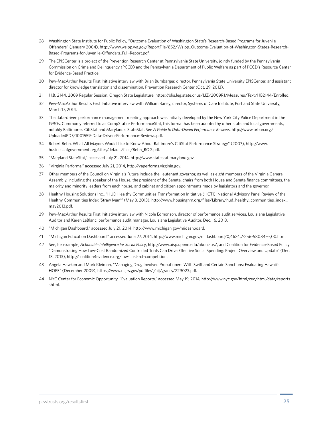- 28 Washington State Institute for Public Policy, "Outcome Evaluation of Washington State's Research-Based Programs for Juvenile Offenders" (January 2004), [http://www.wsipp.wa.gov/ReportFile/852/Wsipp\\_Outcome-Evaluation-of-Washington-States-Research-](http://www.wsipp.wa.gov/ReportFile/852/Wsipp_Outcome-Evaluation-of-Washington-States-Research-Based-Programs-for-Juvenile-Offenders_Full-Report.pdf)[Based-Programs-for-Juvenile-Offenders\\_Full-Report.pdf](http://www.wsipp.wa.gov/ReportFile/852/Wsipp_Outcome-Evaluation-of-Washington-States-Research-Based-Programs-for-Juvenile-Offenders_Full-Report.pdf).
- 29 The EPISCenter is a project of the Prevention Research Center at Pennsylvania State University, jointly funded by the Pennsylvania Commission on Crime and Delinquency (PCCD) and the Pennsylvania Department of Public Welfare as part of PCCD's Resource Center for Evidence-Based Practice.
- 30 Pew-MacArthur Results First Initiative interview with Brian Bumbarger, director, Pennsylvania State University EPISCenter, and assistant director for knowledge translation and dissemination, Prevention Research Center (Oct. 29, 2013).
- 31 H.B. 2144, 2009 Regular Session, Oregon State Legislature, <https://olis.leg.state.or.us/LIZ/2009R1/Measures/Text/HB2144/Enrolled>.
- 32 Pew-MacArthur Results First Initiative interview with William Baney, director, Systems of Care Institute, Portland State University, March 17, 2014.
- 33 The data-driven performance management meeting approach was initially developed by the New York City Police Department in the 1990s. Commonly referred to as CompStat or PerformanceStat, this format has been adopted by other state and local governments, notably Baltimore's CitiStat and Maryland's StateStat. See *A Guide to Data-Driven Performance Reviews*, [http://www.urban.org/](http://www.urban.org/UploadedPDF/1001559-Data-Driven-Performance-Reviews.pdf) [UploadedPDF/1001559-Data-Driven-Performance-Reviews.pdf.](http://www.urban.org/UploadedPDF/1001559-Data-Driven-Performance-Reviews.pdf)
- 34 Robert Behn, What All Mayors Would Like to Know About Baltimore's CitiStat Performance Strategy" (2007), [http://www.](http://www.businessofgovernment.org/sites/default/files/Behn_BOG.pdf) [businessofgovernment.org/sites/default/files/Behn\\_BOG.pdf.](http://www.businessofgovernment.org/sites/default/files/Behn_BOG.pdf)
- 35 "Maryland StateStat," accessed July 21, 2014,<http://www.statestat.maryland.gov>.
- 36 "Virginia Performs," accessed July 21, 2014, [http://vaperforms.virginia.gov.](http://vaperforms.virginia.gov)
- 37 Other members of the Council on Virginia's Future include the lieutenant governor, as well as eight members of the Virginia General Assembly, including the speaker of the House, the president of the Senate, chairs from both House and Senate finance committees, the majority and minority leaders from each house, and cabinet and citizen appointments made by legislators and the governor.
- 38 Healthy Housing Solutions Inc., "HUD Healthy Communities Transformation Initiative (HCTI): National Advisory Panel Review of the Healthy Communities Index 'Straw Man'" (May 3, 2013), [http://www.housingnm.org/files/Library/hud\\_healthy\\_communities\\_index\\_](http://www.housingnm.org/files/Library/hud_healthy_communities_index_may2013.pdf) [may2013.pdf.](http://www.housingnm.org/files/Library/hud_healthy_communities_index_may2013.pdf)
- 39 Pew-MacArthur Results First Initiative interview with Nicole Edmonson, director of performance audit services, Louisiana Legislative Auditor and Karen LeBlanc, performance audit manager, Louisiana Legislative Auditor, Dec. 16, 2013.
- 40 "Michigan Dashboard," accessed July 21, 2014, [http://www.michigan.gov/midashboard.](http://www.michigan.gov/midashboard)
- 41 "Michigan Education Dashboard," accessed June 27, 2014, <http://www.michigan.gov/midashboard>/0,4624,7-256-58084---[,00.html.](00.html)
- 42 See, for example, *Actionable Intelligence for Social Policy*, [http://www.aisp.upenn.edu/about-](http://www.aisp.upenn.edu/about)us/, and Coalition for Evidence-Based Policy, "Demonstrating How Low-Cost Randomized Controlled Trials Can Drive Effective Social Spending: Project Overview and Update" (Dec. 13, 2013), [http://coalition4evidence.org/low-](http://coalition4evidence.org/low)cost-rct-competition.
- 43 Angela Hawken and Mark Kleiman, "Managing Drug Involved Probationers With Swift and Certain Sanctions: Evaluating Hawaii's HOPE" (December 2009), [https://www.ncjrs.gov/pdffiles1/nij/grants/229023.pdf.](https://www.ncjrs.gov/pdffiles1/nij/grants/229023.pdf)
- 44 NYC Center for Economic Opportunity, "Evaluation Reports," accessed May 19, 2014, [http://www.nyc.gov/html/ceo/html/data/reports.](http://www.nyc.gov/html/ceo/html/data/reports.shtml) [shtml.](http://www.nyc.gov/html/ceo/html/data/reports.shtml)